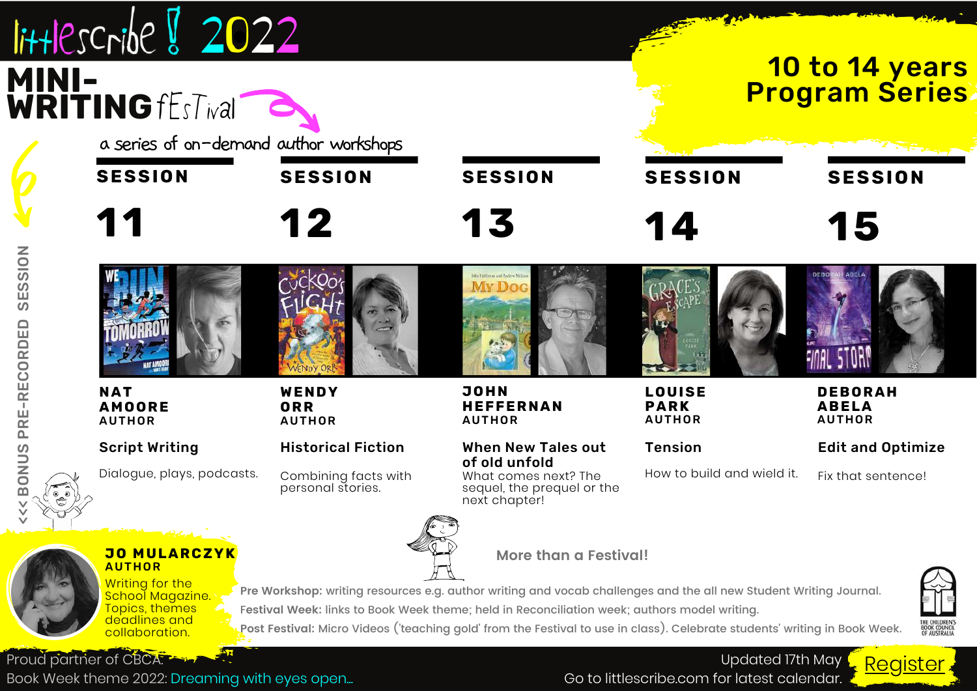| $I$ ittlescribe $\sqrt[3]{2022}$<br><b>MINI-<br/>WRITING fEsTival</b><br>a series of on-demand author workshops                                               |                                           |                                                                                                                                                                                                                                                                                                                                                                          |                                               | <b>10 to 14 years</b><br><b>Program Series</b>  |
|---------------------------------------------------------------------------------------------------------------------------------------------------------------|-------------------------------------------|--------------------------------------------------------------------------------------------------------------------------------------------------------------------------------------------------------------------------------------------------------------------------------------------------------------------------------------------------------------------------|-----------------------------------------------|-------------------------------------------------|
| <b>SESSION</b>                                                                                                                                                | <b>SESSION</b>                            | <b>SESSION</b>                                                                                                                                                                                                                                                                                                                                                           | <b>SESSION</b>                                | <b>SESSION</b>                                  |
| 11                                                                                                                                                            | 12                                        | 13                                                                                                                                                                                                                                                                                                                                                                       | 14                                            | 15                                              |
| <b>NAT</b><br><b>AMOORE</b><br><b>AUTHOR</b>                                                                                                                  | WENDY<br>ORR<br><b>AUTHOR</b>             | <b>JOHN</b><br><b>HEFFERNAN</b><br><b>AUTHOR</b>                                                                                                                                                                                                                                                                                                                         | <b>LOUISE</b><br><b>PARK</b><br><b>AUTHOR</b> | <b>DEBORAH</b><br><b>ABELA</b><br><b>AUTHOR</b> |
| <b>Script Writing</b>                                                                                                                                         | <b>Historical Fiction</b>                 | <b>When New Tales out</b>                                                                                                                                                                                                                                                                                                                                                | <b>Tension</b>                                | <b>Edit and Optimize</b>                        |
| Dialogue, plays, podcasts.                                                                                                                                    | Combining facts with<br>personal stories. | of old unfold<br>What comes next? The<br>sequel, the prequel or the<br>next chapter!                                                                                                                                                                                                                                                                                     | How to build and wield it.                    | Fix that sentence!                              |
| <b>Exploration</b><br><b>JO MULARCZYK</b><br><b>AUTHOR</b><br><b>Writing for the</b><br>School Magazine.<br>Topics, themes<br>deadlines and<br>collaboration. |                                           | More than a Festival!<br>Pre Workshop: writing resources e.g. author writing and vocab challenges and the all new Student Writing Journal.<br>Festival Week: links to Book Week theme; held in Reconciliation week; authors model writing.<br>Post Festival: Micro Videos ('teaching gold' from the Festival to use in class). Celebrate students' writing in Book Week. |                                               | THE CHILDREN'S<br>BOOK COUNCIL<br>OF AUSTRALIA  |

Book Week theme 2022: Dreaming with eyes open...

Go to littlescribe.com for latest calendar.  $\frac{1}{2}$